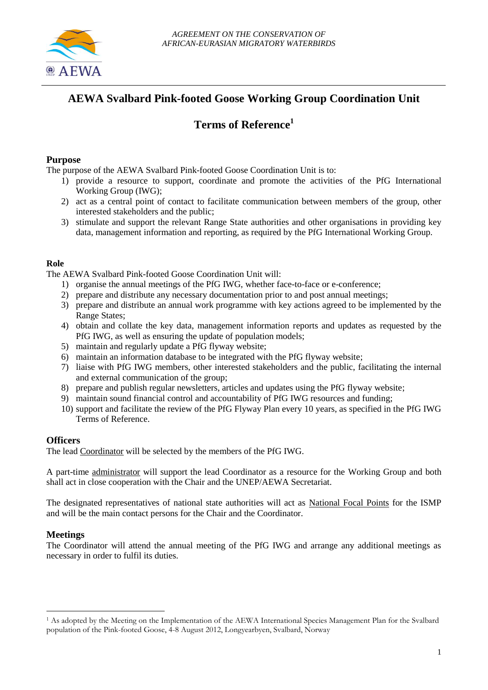

# **AEWA Svalbard Pink-footed Goose Working Group Coordination Unit**

## **Terms of Reference<sup>1</sup>**

#### **Purpose**

The purpose of the AEWA Svalbard Pink-footed Goose Coordination Unit is to:

- 1) provide a resource to support, coordinate and promote the activities of the PfG International Working Group (IWG);
- 2) act as a central point of contact to facilitate communication between members of the group, other interested stakeholders and the public;
- 3) stimulate and support the relevant Range State authorities and other organisations in providing key data, management information and reporting, as required by the PfG International Working Group.

#### **Role**

The AEWA Svalbard Pink-footed Goose Coordination Unit will:

- 1) organise the annual meetings of the PfG IWG, whether face-to-face or e-conference;
- 2) prepare and distribute any necessary documentation prior to and post annual meetings;
- 3) prepare and distribute an annual work programme with key actions agreed to be implemented by the Range States;
- 4) obtain and collate the key data, management information reports and updates as requested by the PfG IWG, as well as ensuring the update of population models;
- 5) maintain and regularly update a PfG flyway website;
- 6) maintain an information database to be integrated with the PfG flyway website;
- 7) liaise with PfG IWG members, other interested stakeholders and the public, facilitating the internal and external communication of the group;
- 8) prepare and publish regular newsletters, articles and updates using the PfG flyway website;
- 9) maintain sound financial control and accountability of PfG IWG resources and funding;
- 10) support and facilitate the review of the PfG Flyway Plan every 10 years, as specified in the PfG IWG Terms of Reference.

### **Officers**

The lead Coordinator will be selected by the members of the PfG IWG.

A part-time administrator will support the lead Coordinator as a resource for the Working Group and both shall act in close cooperation with the Chair and the UNEP/AEWA Secretariat.

The designated representatives of national state authorities will act as National Focal Points for the ISMP and will be the main contact persons for the Chair and the Coordinator.

### **Meetings**

<u>.</u>

The Coordinator will attend the annual meeting of the PfG IWG and arrange any additional meetings as necessary in order to fulfil its duties.

<sup>1</sup> As adopted by the Meeting on the Implementation of the AEWA International Species Management Plan for the Svalbard population of the Pink-footed Goose, 4-8 August 2012, Longyearbyen, Svalbard, Norway